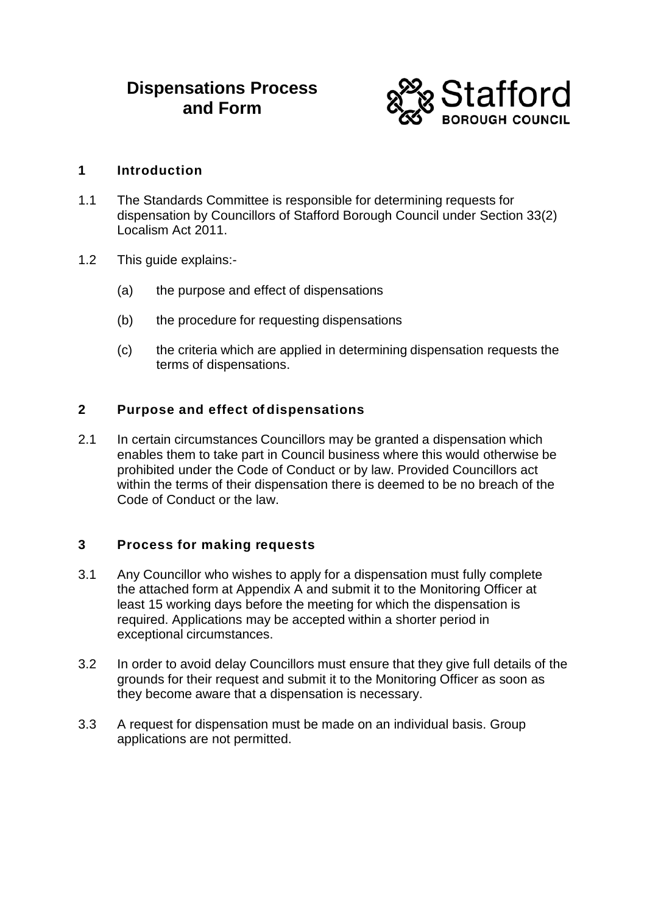# **Dispensations Process and Form**



# **1 Introduction**

- 1.1 The Standards Committee is responsible for determining requests for dispensation by Councillors of Stafford Borough Council under Section 33(2) Localism Act 2011.
- 1.2 This guide explains:-
	- (a) the purpose and effect of dispensations
	- (b) the procedure for requesting dispensations
	- (c) the criteria which are applied in determining dispensation requests the terms of dispensations.

# **2 Purpose and effect of dispensations**

2.1 In certain circumstances Councillors may be granted a dispensation which enables them to take part in Council business where this would otherwise be prohibited under the Code of Conduct or by law. Provided Councillors act within the terms of their dispensation there is deemed to be no breach of the Code of Conduct or the law.

#### **3 Process for making requests**

- 3.1 Any Councillor who wishes to apply for a dispensation must fully complete the attached form at Appendix A and submit it to the Monitoring Officer at least 15 working days before the meeting for which the dispensation is required. Applications may be accepted within a shorter period in exceptional circumstances.
- 3.2 In order to avoid delay Councillors must ensure that they give full details of the grounds for their request and submit it to the Monitoring Officer as soon as they become aware that a dispensation is necessary.
- 3.3 A request for dispensation must be made on an individual basis. Group applications are not permitted.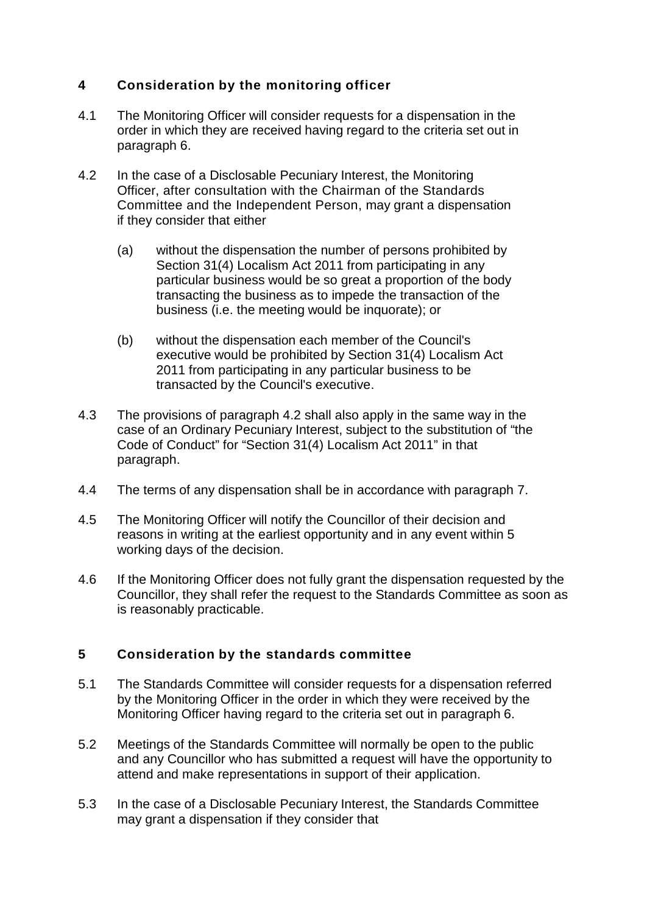# **4 Consideration by the monitoring officer**

- 4.1 The Monitoring Officer will consider requests for a dispensation in the order in which they are received having regard to the criteria set out in paragraph 6.
- 4.2 In the case of a Disclosable Pecuniary Interest, the Monitoring Officer, after consultation with the Chairman of the Standards Committee and the Independent Person, may grant a dispensation if they consider that either
	- (a) without the dispensation the number of persons prohibited by Section 31(4) Localism Act 2011 from participating in any particular business would be so great a proportion of the body transacting the business as to impede the transaction of the business (i.e. the meeting would be inquorate); or
	- (b) without the dispensation each member of the Council's executive would be prohibited by Section 31(4) Localism Act 2011 from participating in any particular business to be transacted by the Council's executive.
- 4.3 The provisions of paragraph 4.2 shall also apply in the same way in the case of an Ordinary Pecuniary Interest, subject to the substitution of "the Code of Conduct" for "Section 31(4) Localism Act 2011" in that paragraph.
- 4.4 The terms of any dispensation shall be in accordance with paragraph 7.
- 4.5 The Monitoring Officer will notify the Councillor of their decision and reasons in writing at the earliest opportunity and in any event within 5 working days of the decision.
- 4.6 If the Monitoring Officer does not fully grant the dispensation requested by the Councillor, they shall refer the request to the Standards Committee as soon as is reasonably practicable.

# **5 Consideration by the standards committee**

- 5.1 The Standards Committee will consider requests for a dispensation referred by the Monitoring Officer in the order in which they were received by the Monitoring Officer having regard to the criteria set out in paragraph 6.
- 5.2 Meetings of the Standards Committee will normally be open to the public and any Councillor who has submitted a request will have the opportunity to attend and make representations in support of their application.
- 5.3 In the case of a Disclosable Pecuniary Interest, the Standards Committee may grant a dispensation if they consider that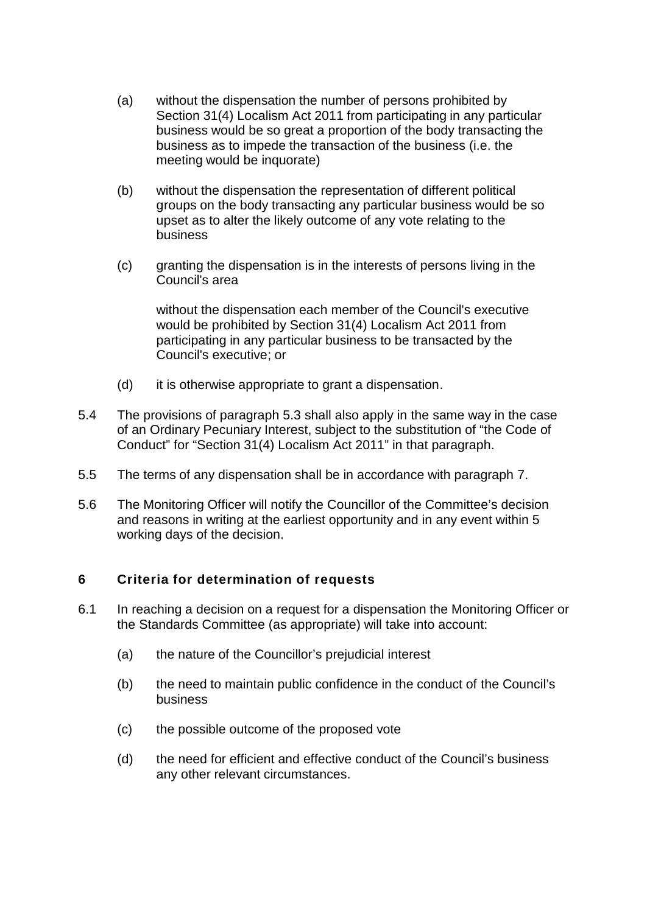- (a) without the dispensation the number of persons prohibited by Section 31(4) Localism Act 2011 from participating in any particular business would be so great a proportion of the body transacting the business as to impede the transaction of the business (i.e. the meeting would be inquorate)
- (b) without the dispensation the representation of different political groups on the body transacting any particular business would be so upset as to alter the likely outcome of any vote relating to the business
- (c) granting the dispensation is in the interests of persons living in the Council's area

without the dispensation each member of the Council's executive would be prohibited by Section 31(4) Localism Act 2011 from participating in any particular business to be transacted by the Council's executive; or

- (d) it is otherwise appropriate to grant a dispensation.
- 5.4 The provisions of paragraph 5.3 shall also apply in the same way in the case of an Ordinary Pecuniary Interest, subject to the substitution of "the Code of Conduct" for "Section 31(4) Localism Act 2011" in that paragraph.
- 5.5 The terms of any dispensation shall be in accordance with paragraph 7.
- 5.6 The Monitoring Officer will notify the Councillor of the Committee's decision and reasons in writing at the earliest opportunity and in any event within 5 working days of the decision.

#### **6 Criteria for determination of requests**

- 6.1 In reaching a decision on a request for a dispensation the Monitoring Officer or the Standards Committee (as appropriate) will take into account:
	- (a) the nature of the Councillor's prejudicial interest
	- (b) the need to maintain public confidence in the conduct of the Council's business
	- (c) the possible outcome of the proposed vote
	- (d) the need for efficient and effective conduct of the Council's business any other relevant circumstances.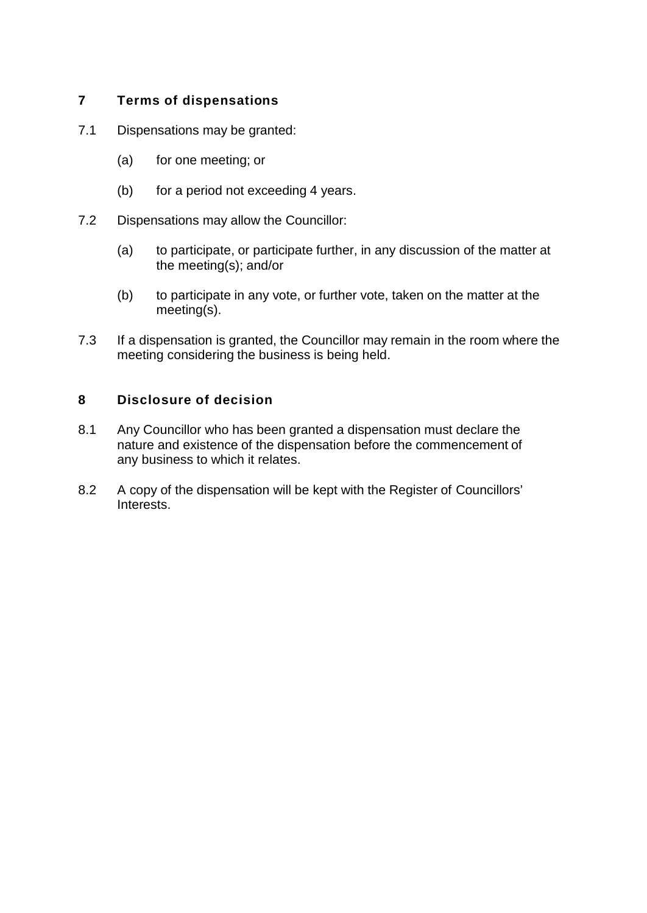# **7 Terms of dispensations**

- 7.1 Dispensations may be granted:
	- (a) for one meeting; or
	- (b) for a period not exceeding 4 years.
- 7.2 Dispensations may allow the Councillor:
	- (a) to participate, or participate further, in any discussion of the matter at the meeting(s); and/or
	- (b) to participate in any vote, or further vote, taken on the matter at the meeting(s).
- 7.3 If a dispensation is granted, the Councillor may remain in the room where the meeting considering the business is being held.

# **8 Disclosure of decision**

- 8.1 Any Councillor who has been granted a dispensation must declare the nature and existence of the dispensation before the commencement of any business to which it relates.
- 8.2 A copy of the dispensation will be kept with the Register of Councillors' Interests.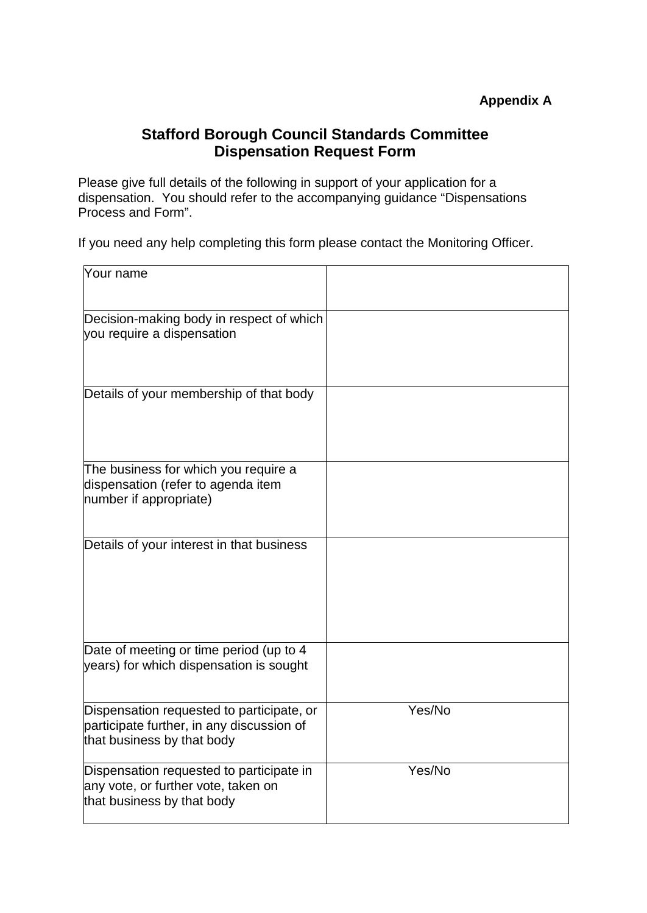# **Stafford Borough Council Standards Committee Dispensation Request Form**

Please give full details of the following in support of your application for a dispensation. You should refer to the accompanying guidance "Dispensations Process and Form".

If you need any help completing this form please contact the Monitoring Officer.

| Your name                                                                                                            |        |
|----------------------------------------------------------------------------------------------------------------------|--------|
| Decision-making body in respect of which<br>you require a dispensation                                               |        |
| Details of your membership of that body                                                                              |        |
| The business for which you require a<br>dispensation (refer to agenda item<br>number if appropriate)                 |        |
| Details of your interest in that business                                                                            |        |
| Date of meeting or time period (up to 4<br>years) for which dispensation is sought                                   |        |
| Dispensation requested to participate, or<br>participate further, in any discussion of<br>that business by that body | Yes/No |
| Dispensation requested to participate in<br>any vote, or further vote, taken on<br>that business by that body        | Yes/No |